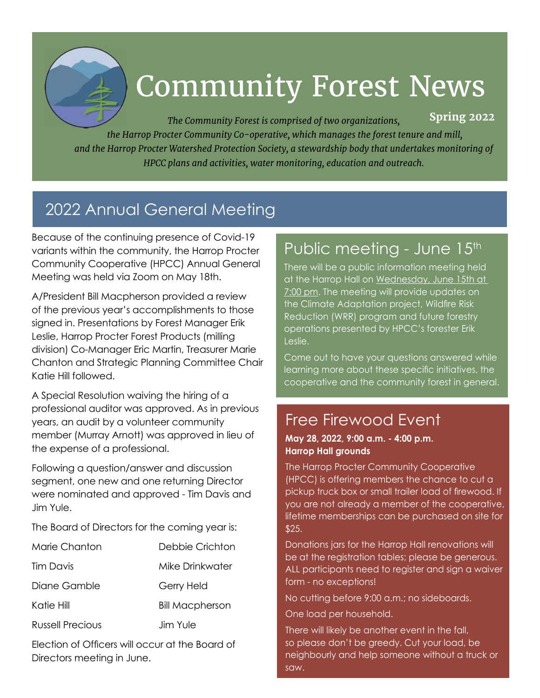

# Community Forest News

*The Community Forest is comprised of two organizations, the Harrop Procter Community Co-operative, which manages the forest tenure and mill, and the Harrop Procter Watershed Protection Society, a stewardship body that undertakes monitoring of HPCC plans and activities, water monitoring, education and outreach.* **Spring 2022**

# 2022 Annual General Meeting

Because of the continuing presence of Covid-19 variants within the community, the Harrop Procter Community Cooperative (HPCC) Annual General Meeting was held via Zoom on May 18th.

A/President Bill Macpherson provided a review of the previous year's accomplishments to those signed in. Presentations by Forest Manager Erik Leslie, Harrop Procter Forest Products (milling division) Co-Manager Eric Martin, Treasurer Marie Chanton and Strategic Planning Committee Chair Katie Hill followed.

A Special Resolution waiving the hiring of a professional auditor was approved. As in previous years, an audit by a volunteer community member (Murray Arnott) was approved in lieu of the expense of a professional.

Following a question/answer and discussion segment, one new and one returning Director were nominated and approved - Tim Davis and Jim Yule.

The Board of Directors for the coming year is:

| Marie Chanton    | Debbie Crichton        |
|------------------|------------------------|
| Tim Davis        | Mike Drinkwater        |
| Diane Gamble     | Gerry Held             |
| Katie Hill       | <b>Bill Macpherson</b> |
| Russell Precious | Jim Yule               |

Election of Officers will occur at the Board of Directors meeting in June.

### Public meeting - June 15th

There will be a public information meeting held at the Harrop Hall on Wednesday, June 15th at 7:00 pm. The meeting will provide updates on the Climate Adaptation project, Wildfire Risk Reduction (WRR) program and future forestry operations presented by HPCC's forester Erik Leslie.

Come out to have your questions answered while learning more about these specific initiatives, the cooperative and the community forest in general.

### Free Firewood Event

#### **May 28, 2022, 9:00 a.m. - 4:00 p.m. Harrop Hall grounds**

The Harrop Procter Community Cooperative (HPCC) is offering members the chance to cut a pickup truck box or small trailer load of firewood. If you are not already a member of the cooperative, lifetime memberships can be purchased on site for \$25.

Donations jars for the Harrop Hall renovations will be at the registration tables; please be generous. ALL participants need to register and sign a waiver form - no exceptions!

No cutting before 9:00 a.m.; no sideboards.

One load per household.

There will likely be another event in the fall, so please don't be greedy. Cut your load, be neighbourly and help someone without a truck or saw.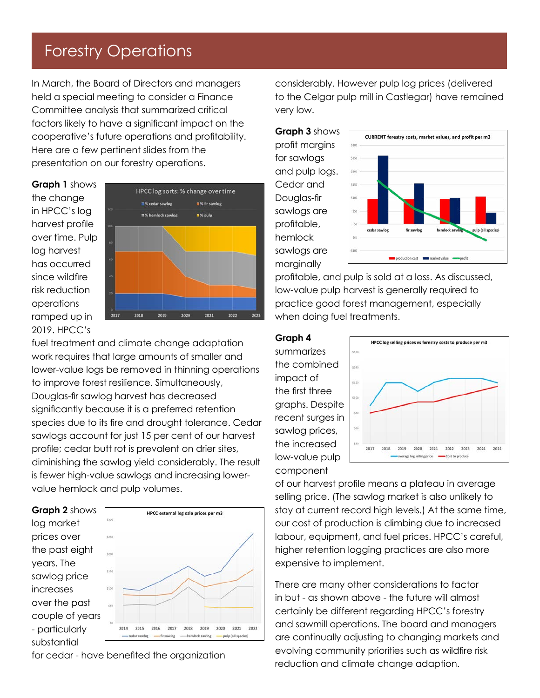### Forestry Operations

In March, the Board of Directors and managers held a special meeting to consider a Finance Committee analysis that summarized critical factors likely to have a significant impact on the cooperative's future operations and profitability. Here are a few pertinent slides from the presentation on our forestry operations.

**Graph 1** shows the change in HPCC's log harvest profile over time. Pulp log harvest has occurred since wildfire risk reduction operations ramped up in 2019. HPCC's



fuel treatment and climate change adaptation work requires that large amounts of smaller and lower-value logs be removed in thinning operations to improve forest resilience. Simultaneously, Douglas-fir sawlog harvest has decreased significantly because it is a preferred retention species due to its fire and drought tolerance. Cedar sawlogs account for just 15 per cent of our harvest profile; cedar butt rot is prevalent on drier sites, diminishing the sawlog yield considerably. The result is fewer high-value sawlogs and increasing lowervalue hemlock and pulp volumes.



for cedar - have benefited the organization

-pulp (all speci

-hemlock sawlog

considerably. However pulp log prices (delivered to the Celgar pulp mill in Castlegar) have remained very low.



profitable, and pulp is sold at a loss. As discussed, low-value pulp harvest is generally required to practice good forest management, especially when doing fuel treatments.

#### **Graph 4**

summarizes the combined impact of the first three graphs. Despite recent surges in sawlog prices, the increased low-value pulp component



of our harvest profile means a plateau in average selling price. (The sawlog market is also unlikely to stay at current record high levels.) At the same time, our cost of production is climbing due to increased labour, equipment, and fuel prices. HPCC's careful, higher retention logging practices are also more expensive to implement.

There are many other considerations to factor in but - as shown above - the future will almost certainly be different regarding HPCC's forestry and sawmill operations. The board and managers are continually adjusting to changing markets and evolving community priorities such as wildfire risk reduction and climate change adaption.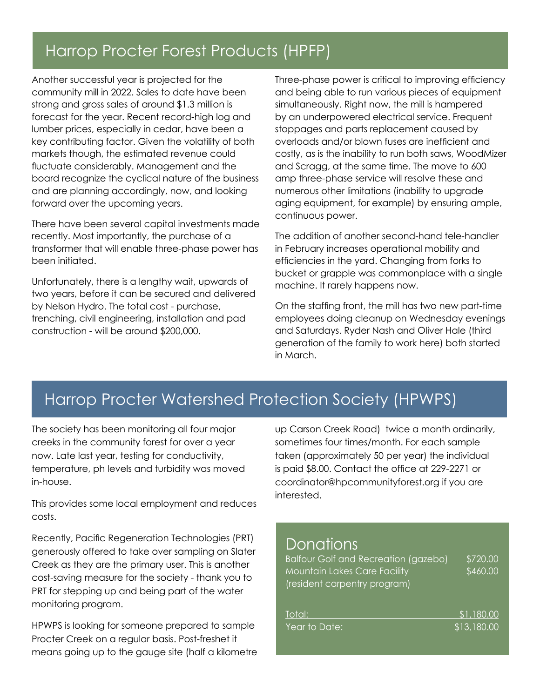### Harrop Procter Forest Products (HPFP)

Another successful year is projected for the community mill in 2022. Sales to date have been strong and gross sales of around \$1.3 million is forecast for the year. Recent record-high log and lumber prices, especially in cedar, have been a key contributing factor. Given the volatility of both markets though, the estimated revenue could fluctuate considerably. Management and the board recognize the cyclical nature of the business and are planning accordingly, now, and looking forward over the upcoming years.

There have been several capital investments made recently. Most importantly, the purchase of a transformer that will enable three-phase power has been initiated.

Unfortunately, there is a lengthy wait, upwards of two years, before it can be secured and delivered by Nelson Hydro. The total cost - purchase, trenching, civil engineering, installation and pad construction - will be around \$200,000.

Three-phase power is critical to improving efficiency and being able to run various pieces of equipment simultaneously. Right now, the mill is hampered by an underpowered electrical service. Frequent stoppages and parts replacement caused by overloads and/or blown fuses are inefficient and costly, as is the inability to run both saws, WoodMizer and Scragg, at the same time. The move to 600 amp three-phase service will resolve these and numerous other limitations (inability to upgrade aging equipment, for example) by ensuring ample, continuous power.

The addition of another second-hand tele-handler in February increases operational mobility and efficiencies in the yard. Changing from forks to bucket or grapple was commonplace with a single machine. It rarely happens now.

On the staffing front, the mill has two new part-time employees doing cleanup on Wednesday evenings and Saturdays. Ryder Nash and Oliver Hale (third generation of the family to work here) both started in March.

## Harrop Procter Watershed Protection Society (HPWPS)

The society has been monitoring all four major creeks in the community forest for over a year now. Late last year, testing for conductivity, temperature, ph levels and turbidity was moved in-house.

This provides some local employment and reduces costs.

Recently, Pacific Regeneration Technologies (PRT) generously offered to take over sampling on Slater Creek as they are the primary user. This is another cost-saving measure for the society - thank you to PRT for stepping up and being part of the water monitoring program.

HPWPS is looking for someone prepared to sample Procter Creek on a regular basis. Post-freshet it means going up to the gauge site (half a kilometre up Carson Creek Road) twice a month ordinarily, sometimes four times/month. For each sample taken (approximately 50 per year) the individual is paid \$8.00. Contact the office at 229-2271 or coordinator@hpcommunityforest.org if you are interested.

#### **Donations**

| Balfour Golf and Recreation (gazebo) | \$720.00    |
|--------------------------------------|-------------|
| <b>Mountain Lakes Care Facility</b>  | \$460.00    |
| (resident carpentry program)         |             |
| Total:                               | \$1,180.00  |
| Year to Date:                        | \$13,180.00 |